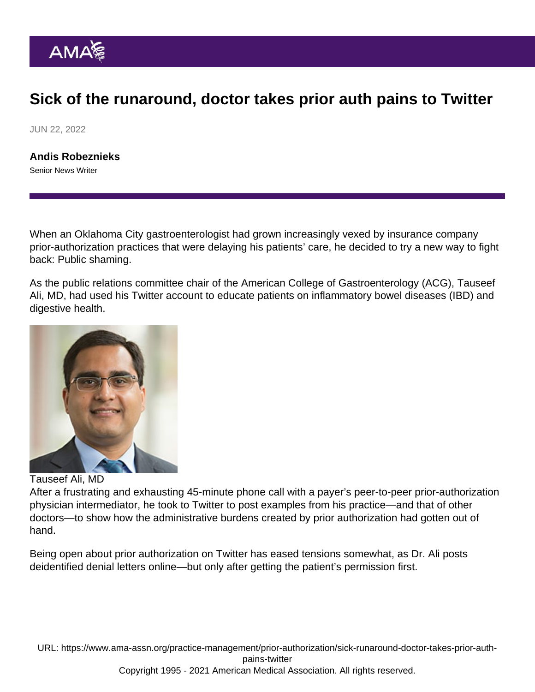## Sick of the runaround, doctor takes prior auth pains to Twitter

JUN 22, 2022

[Andis Robeznieks](https://www.ama-assn.org/news-leadership-viewpoints/authors-news-leadership-viewpoints/andis-robeznieks) Senior News Writer

When an Oklahoma City gastroenterologist had grown increasingly vexed by insurance company prior-authorization practices that were delaying his patients' care, he decided to try a new way to fight back: Public shaming.

As the public relations committee chair of the American College of Gastroenterology (ACG), Tauseef Ali, MD, had [used his Twitter account](https://twitter.com/ibdtweets) to educate patients on inflammatory bowel diseases (IBD) and digestive health.

Tauseef Ali, MD

After a frustrating and exhausting 45-minute phone call with a payer's peer-to-peer prior-authorization physician intermediator, he took to Twitter to post examples from his practice—and that of other doctors—to show how the administrative burdens created by prior authorization had gotten out of hand.

Being open about prior authorization on Twitter has eased tensions somewhat, as Dr. Ali posts deidentified denial letters online—but only after getting the patient's permission first.

URL: [https://www.ama-assn.org/practice-management/prior-authorization/sick-runaround-doctor-takes-prior-auth](https://www.ama-assn.org/practice-management/prior-authorization/sick-runaround-doctor-takes-prior-auth-pains-twitter)[pains-twitter](https://www.ama-assn.org/practice-management/prior-authorization/sick-runaround-doctor-takes-prior-auth-pains-twitter)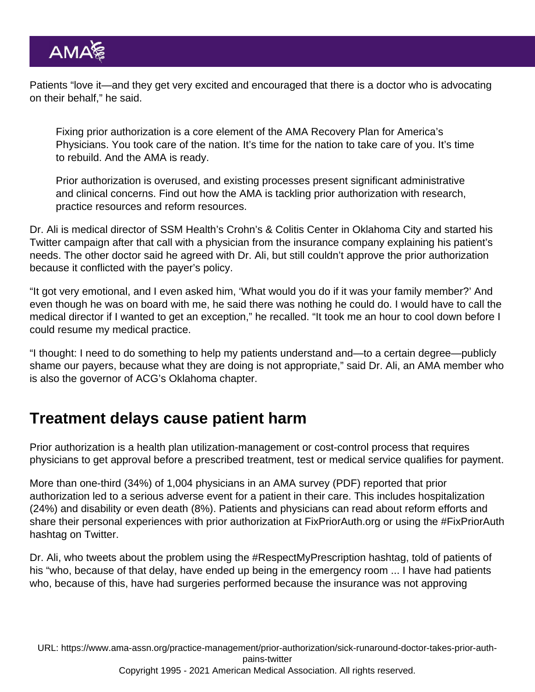Patients "love it—and they get very excited and encouraged that there is a doctor who is advocating on their behalf," he said.

Fixing prior authorization is a core element of the [AMA Recovery Plan for America's](https://www.ama-assn.org/amaone/ama-recovery-plan-america-s-physicians) [Physicians](https://www.ama-assn.org/amaone/ama-recovery-plan-america-s-physicians). You took care of the nation. It's time for the nation to take care of you. It's time to rebuild. And the AMA is ready.

Prior authorization is overused, and existing processes present significant administrative and clinical concerns. Find out how the AMA is [tackling prior authorization](https://www.ama-assn.org/practice-management/sustainability/prior-authorization) with research, practice resources and reform resources.

Dr. Ali is medical director of SSM Health's Crohn's & Colitis Center in Oklahoma City and started his Twitter campaign after that call with a physician from the insurance company explaining his patient's needs. The other doctor said he agreed with Dr. Ali, but still couldn't approve the prior authorization because it conflicted with the payer's policy.

"It got very emotional, and I even asked him, 'What would you do if it was your family member?' And even though he was on board with me, he said there was nothing he could do. I would have to call the medical director if I wanted to get an exception," he recalled. "It took me an hour to cool down before I could resume my medical practice.

"I thought: I need to do something to help my patients understand and—to a certain degree—publicly shame our payers, because what they are doing is not appropriate," said Dr. Ali, an AMA member who is also the governor of ACG's Oklahoma chapter.

## Treatment delays cause patient harm

Prior authorization is a health plan utilization-management or cost-control process that requires physicians to get approval before a prescribed treatment, test or medical service qualifies for payment.

More than one-third (34%) of 1,004 physicians in an [AMA survey](https://www.ama-assn.org/system/files/prior-authorization-survey.pdf) (PDF) reported that prior authorization led to a serious adverse event for a patient in their care. This includes hospitalization (24%) and disability or even death (8%). Patients and physicians can read about reform efforts and share their personal experiences with prior authorization at [FixPriorAuth.org](https://fixpriorauth.org/) or using the [#FixPriorAuth](https://twitter.com/hashtag/fixpriorauth) hashtag on Twitter.

Dr. Ali, who tweets about the problem using the [#RespectMyPrescription](https://twitter.com/hashtag/RespectMyPrescription) hashtag, told of patients of his "who, because of that delay, have ended up being in the emergency room ... I have had patients who, because of this, have had surgeries performed because the insurance was not approving

URL: [https://www.ama-assn.org/practice-management/prior-authorization/sick-runaround-doctor-takes-prior-auth](https://www.ama-assn.org/practice-management/prior-authorization/sick-runaround-doctor-takes-prior-auth-pains-twitter)[pains-twitter](https://www.ama-assn.org/practice-management/prior-authorization/sick-runaround-doctor-takes-prior-auth-pains-twitter) Copyright 1995 - 2021 American Medical Association. All rights reserved.